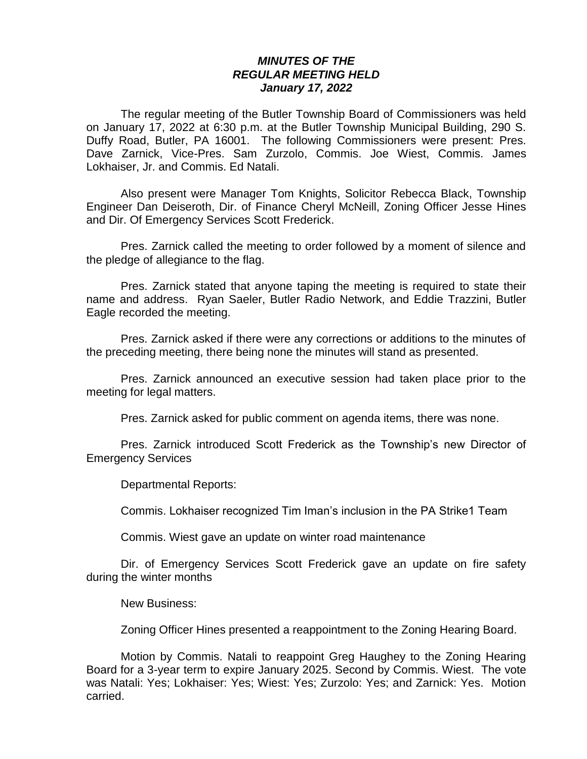## *MINUTES OF THE REGULAR MEETING HELD January 17, 2022*

The regular meeting of the Butler Township Board of Commissioners was held on January 17, 2022 at 6:30 p.m. at the Butler Township Municipal Building, 290 S. Duffy Road, Butler, PA 16001. The following Commissioners were present: Pres. Dave Zarnick, Vice-Pres. Sam Zurzolo, Commis. Joe Wiest, Commis. James Lokhaiser, Jr. and Commis. Ed Natali.

Also present were Manager Tom Knights, Solicitor Rebecca Black, Township Engineer Dan Deiseroth, Dir. of Finance Cheryl McNeill, Zoning Officer Jesse Hines and Dir. Of Emergency Services Scott Frederick.

Pres. Zarnick called the meeting to order followed by a moment of silence and the pledge of allegiance to the flag.

Pres. Zarnick stated that anyone taping the meeting is required to state their name and address. Ryan Saeler, Butler Radio Network, and Eddie Trazzini, Butler Eagle recorded the meeting.

Pres. Zarnick asked if there were any corrections or additions to the minutes of the preceding meeting, there being none the minutes will stand as presented.

Pres. Zarnick announced an executive session had taken place prior to the meeting for legal matters.

Pres. Zarnick asked for public comment on agenda items, there was none.

Pres. Zarnick introduced Scott Frederick as the Township's new Director of Emergency Services

Departmental Reports:

Commis. Lokhaiser recognized Tim Iman's inclusion in the PA Strike1 Team

Commis. Wiest gave an update on winter road maintenance

Dir. of Emergency Services Scott Frederick gave an update on fire safety during the winter months

New Business:

Zoning Officer Hines presented a reappointment to the Zoning Hearing Board.

Motion by Commis. Natali to reappoint Greg Haughey to the Zoning Hearing Board for a 3-year term to expire January 2025. Second by Commis. Wiest. The vote was Natali: Yes; Lokhaiser: Yes; Wiest: Yes; Zurzolo: Yes; and Zarnick: Yes. Motion carried.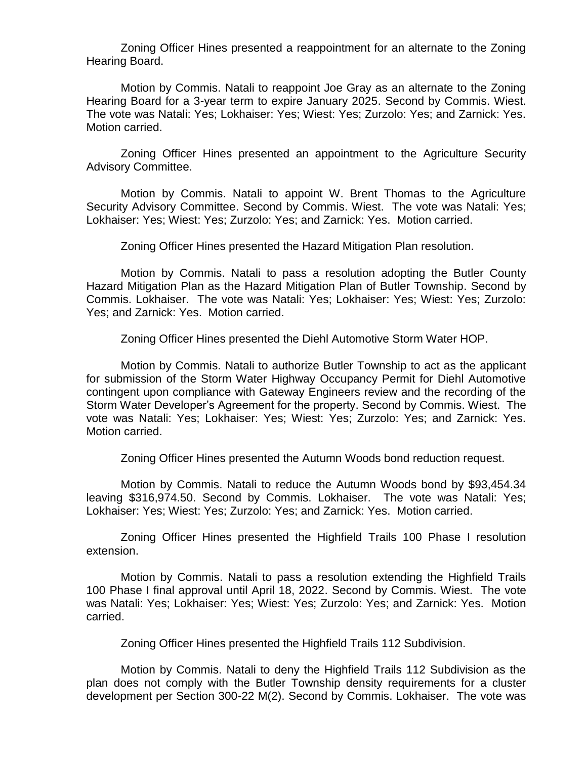Zoning Officer Hines presented a reappointment for an alternate to the Zoning Hearing Board.

Motion by Commis. Natali to reappoint Joe Gray as an alternate to the Zoning Hearing Board for a 3-year term to expire January 2025. Second by Commis. Wiest. The vote was Natali: Yes; Lokhaiser: Yes; Wiest: Yes; Zurzolo: Yes; and Zarnick: Yes. Motion carried.

Zoning Officer Hines presented an appointment to the Agriculture Security Advisory Committee.

Motion by Commis. Natali to appoint W. Brent Thomas to the Agriculture Security Advisory Committee. Second by Commis. Wiest. The vote was Natali: Yes; Lokhaiser: Yes; Wiest: Yes; Zurzolo: Yes; and Zarnick: Yes. Motion carried.

Zoning Officer Hines presented the Hazard Mitigation Plan resolution.

Motion by Commis. Natali to pass a resolution adopting the Butler County Hazard Mitigation Plan as the Hazard Mitigation Plan of Butler Township. Second by Commis. Lokhaiser. The vote was Natali: Yes; Lokhaiser: Yes; Wiest: Yes; Zurzolo: Yes; and Zarnick: Yes. Motion carried.

Zoning Officer Hines presented the Diehl Automotive Storm Water HOP.

Motion by Commis. Natali to authorize Butler Township to act as the applicant for submission of the Storm Water Highway Occupancy Permit for Diehl Automotive contingent upon compliance with Gateway Engineers review and the recording of the Storm Water Developer's Agreement for the property. Second by Commis. Wiest. The vote was Natali: Yes; Lokhaiser: Yes; Wiest: Yes; Zurzolo: Yes; and Zarnick: Yes. Motion carried.

Zoning Officer Hines presented the Autumn Woods bond reduction request.

Motion by Commis. Natali to reduce the Autumn Woods bond by \$93,454.34 leaving \$316,974.50. Second by Commis. Lokhaiser. The vote was Natali: Yes; Lokhaiser: Yes; Wiest: Yes; Zurzolo: Yes; and Zarnick: Yes. Motion carried.

Zoning Officer Hines presented the Highfield Trails 100 Phase I resolution extension.

Motion by Commis. Natali to pass a resolution extending the Highfield Trails 100 Phase I final approval until April 18, 2022. Second by Commis. Wiest. The vote was Natali: Yes; Lokhaiser: Yes; Wiest: Yes; Zurzolo: Yes; and Zarnick: Yes. Motion carried.

Zoning Officer Hines presented the Highfield Trails 112 Subdivision.

Motion by Commis. Natali to deny the Highfield Trails 112 Subdivision as the plan does not comply with the Butler Township density requirements for a cluster development per Section 300-22 M(2). Second by Commis. Lokhaiser. The vote was